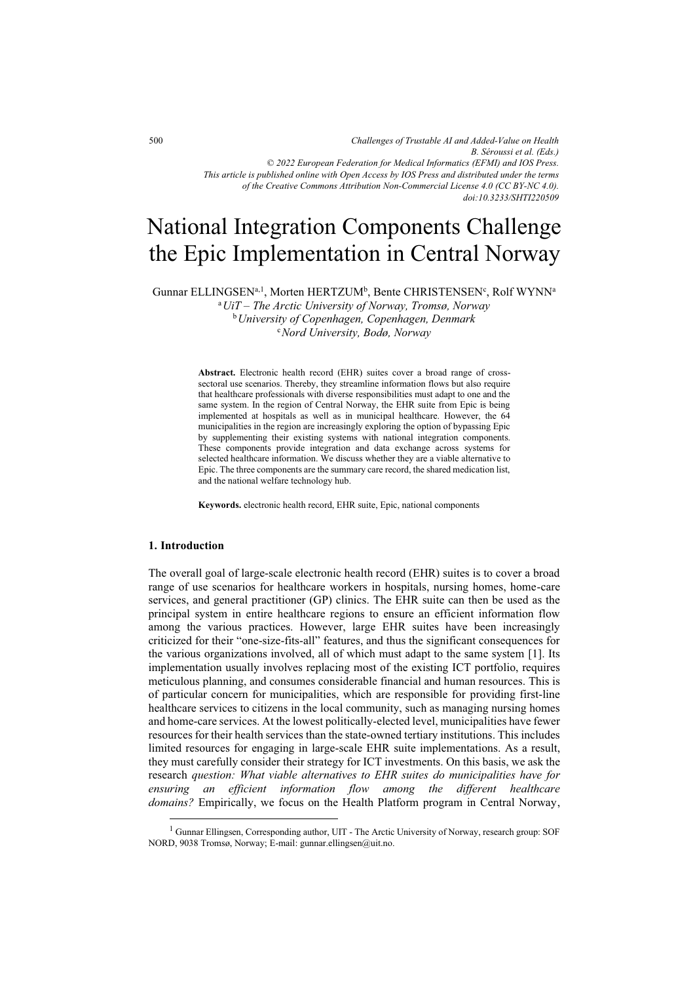*Challenges of Trustable AI and Added-Value on Health B. Séroussi et al. (Eds.) © 2022 European Federation for Medical Informatics (EFMI) and IOS Press. This article is published online with Open Access by IOS Press and distributed under the terms of the Creative Commons Attribution Non-Commercial License 4.0 (CC BY-NC 4.0). doi:10.3233/SHTI220509*

# National Integration Components Challenge the Epic Implementation in Central Norway

Gunnar ELLINGSEN $a,1$ , Morten HERTZUM<sup>b</sup>, Bente CHRISTENSEN<sup>c</sup>, Rolf WYNN $^{\rm a}$ 

<sup>a</sup>*UiT – The Arctic University of Norway, Tromsø, Norway*  b*University of Copenhagen, Copenhagen, Denmark* <sup>c</sup>*Nord University, Bodø, Norway* 

**Abstract.** Electronic health record (EHR) suites cover a broad range of crosssectoral use scenarios. Thereby, they streamline information flows but also require that healthcare professionals with diverse responsibilities must adapt to one and the same system. In the region of Central Norway, the EHR suite from Epic is being implemented at hospitals as well as in municipal healthcare. However, the 64 municipalities in the region are increasingly exploring the option of bypassing Epic by supplementing their existing systems with national integration components. These components provide integration and data exchange across systems for selected healthcare information. We discuss whether they are a viable alternative to Epic. The three components are the summary care record, the shared medication list, and the national welfare technology hub.

**Keywords.** electronic health record, EHR suite, Epic, national components

#### **1. Introduction**

The overall goal of large-scale electronic health record (EHR) suites is to cover a broad range of use scenarios for healthcare workers in hospitals, nursing homes, home-care services, and general practitioner (GP) clinics. The EHR suite can then be used as the principal system in entire healthcare regions to ensure an efficient information flow among the various practices. However, large EHR suites have been increasingly criticized for their "one-size-fits-all" features, and thus the significant consequences for the various organizations involved, all of which must adapt to the same system [1]. Its implementation usually involves replacing most of the existing ICT portfolio, requires meticulous planning, and consumes considerable financial and human resources. This is of particular concern for municipalities, which are responsible for providing first-line healthcare services to citizens in the local community, such as managing nursing homes and home-care services. At the lowest politically-elected level, municipalities have fewer resources for their health services than the state-owned tertiary institutions. This includes limited resources for engaging in large-scale EHR suite implementations. As a result, they must carefully consider their strategy for ICT investments. On this basis, we ask the research *question: What viable alternatives to EHR suites do municipalities have for ensuring an efficient information flow among the different healthcare domains?* Empirically, we focus on the Health Platform program in Central Norway,

<sup>&</sup>lt;sup>1</sup> Gunnar Ellingsen, Corresponding author, UIT - The Arctic University of Norway, research group: SOF NORD, 9038 Tromsø, Norway; E-mail: gunnar.ellingsen@uit.no.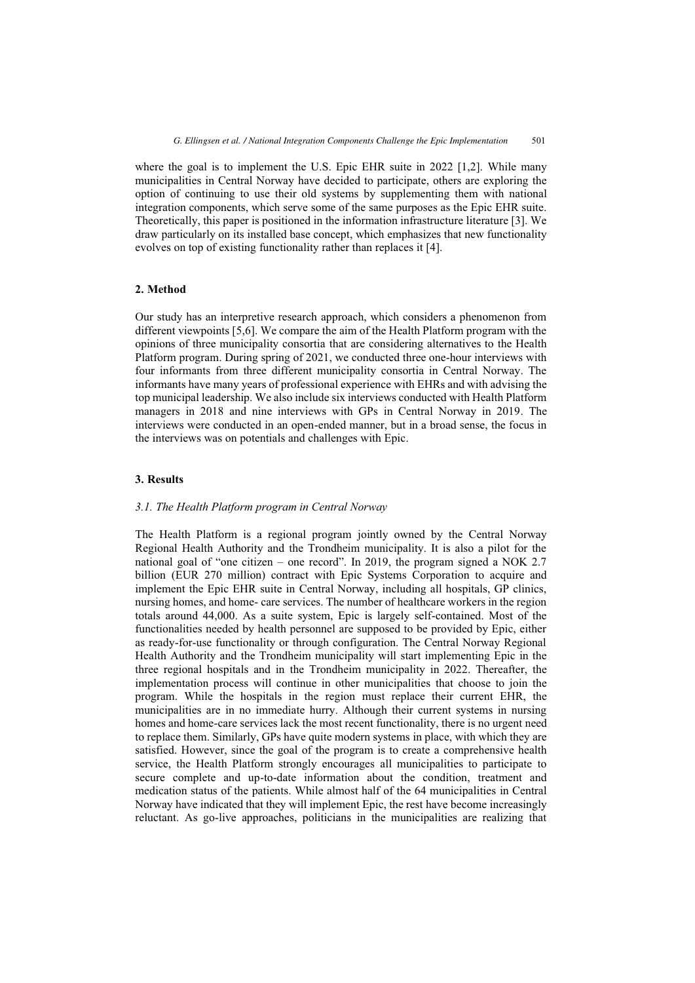where the goal is to implement the U.S. Epic EHR suite in 2022 [1,2]. While many municipalities in Central Norway have decided to participate, others are exploring the option of continuing to use their old systems by supplementing them with national integration components, which serve some of the same purposes as the Epic EHR suite. Theoretically, this paper is positioned in the information infrastructure literature [3]. We draw particularly on its installed base concept, which emphasizes that new functionality evolves on top of existing functionality rather than replaces it [4].

#### **2. Method**

Our study has an interpretive research approach, which considers a phenomenon from different viewpoints [5,6]. We compare the aim of the Health Platform program with the opinions of three municipality consortia that are considering alternatives to the Health Platform program. During spring of 2021, we conducted three one-hour interviews with four informants from three different municipality consortia in Central Norway. The informants have many years of professional experience with EHRs and with advising the top municipal leadership. We also include six interviews conducted with Health Platform managers in 2018 and nine interviews with GPs in Central Norway in 2019. The interviews were conducted in an open-ended manner, but in a broad sense, the focus in the interviews was on potentials and challenges with Epic.

# **3. Results**

# *3.1. The Health Platform program in Central Norway*

The Health Platform is a regional program jointly owned by the Central Norway Regional Health Authority and the Trondheim municipality. It is also a pilot for the national goal of "one citizen – one record". In 2019, the program signed a NOK 2.7 billion (EUR 270 million) contract with Epic Systems Corporation to acquire and implement the Epic EHR suite in Central Norway, including all hospitals, GP clinics, nursing homes, and home- care services. The number of healthcare workers in the region totals around 44,000. As a suite system, Epic is largely self-contained. Most of the functionalities needed by health personnel are supposed to be provided by Epic, either as ready-for-use functionality or through configuration. The Central Norway Regional Health Authority and the Trondheim municipality will start implementing Epic in the three regional hospitals and in the Trondheim municipality in 2022. Thereafter, the implementation process will continue in other municipalities that choose to join the program. While the hospitals in the region must replace their current EHR, the municipalities are in no immediate hurry. Although their current systems in nursing homes and home-care services lack the most recent functionality, there is no urgent need to replace them. Similarly, GPs have quite modern systems in place, with which they are satisfied. However, since the goal of the program is to create a comprehensive health service, the Health Platform strongly encourages all municipalities to participate to secure complete and up-to-date information about the condition, treatment and medication status of the patients. While almost half of the 64 municipalities in Central Norway have indicated that they will implement Epic, the rest have become increasingly reluctant. As go-live approaches, politicians in the municipalities are realizing that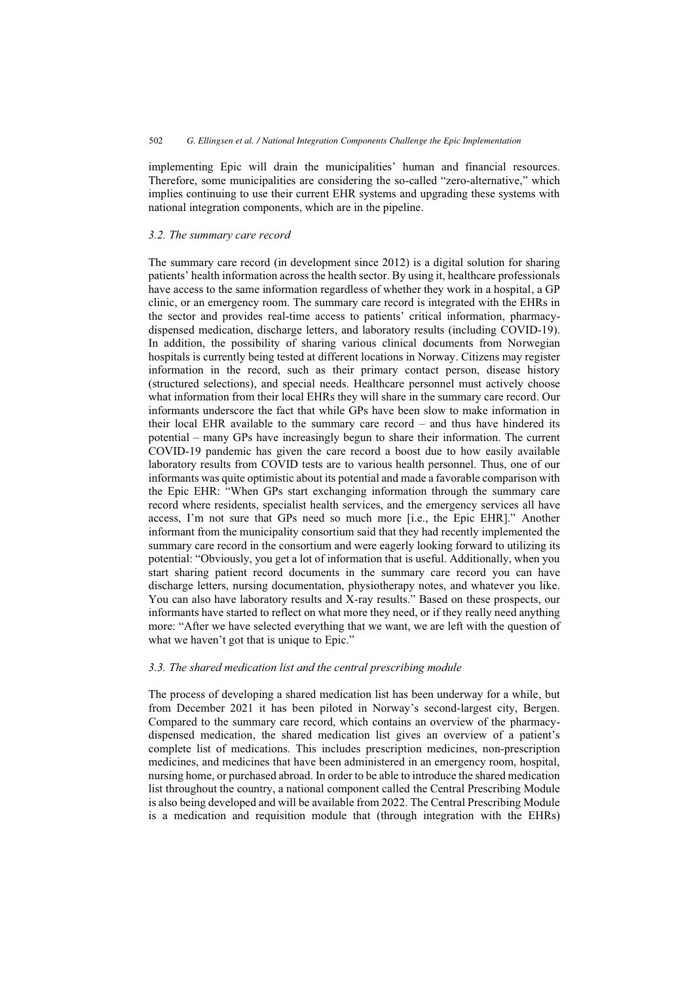implementing Epic will drain the municipalities' human and financial resources. Therefore, some municipalities are considering the so-called "zero-alternative," which implies continuing to use their current EHR systems and upgrading these systems with national integration components, which are in the pipeline.

# *3.2. The summary care record*

The summary care record (in development since 2012) is a digital solution for sharing patients' health information across the health sector. By using it, healthcare professionals have access to the same information regardless of whether they work in a hospital, a GP clinic, or an emergency room. The summary care record is integrated with the EHRs in the sector and provides real-time access to patients' critical information, pharmacydispensed medication, discharge letters, and laboratory results (including COVID-19). In addition, the possibility of sharing various clinical documents from Norwegian hospitals is currently being tested at different locations in Norway. Citizens may register information in the record, such as their primary contact person, disease history (structured selections), and special needs. Healthcare personnel must actively choose what information from their local EHRs they will share in the summary care record. Our informants underscore the fact that while GPs have been slow to make information in their local EHR available to the summary care record – and thus have hindered its potential – many GPs have increasingly begun to share their information. The current COVID-19 pandemic has given the care record a boost due to how easily available laboratory results from COVID tests are to various health personnel. Thus, one of our informants was quite optimistic about its potential and made a favorable comparison with the Epic EHR: "When GPs start exchanging information through the summary care record where residents, specialist health services, and the emergency services all have access, I'm not sure that GPs need so much more [i.e., the Epic EHR]." Another informant from the municipality consortium said that they had recently implemented the summary care record in the consortium and were eagerly looking forward to utilizing its potential: "Obviously, you get a lot of information that is useful. Additionally, when you start sharing patient record documents in the summary care record you can have discharge letters, nursing documentation, physiotherapy notes, and whatever you like. You can also have laboratory results and X-ray results." Based on these prospects, our informants have started to reflect on what more they need, or if they really need anything more: "After we have selected everything that we want, we are left with the question of what we haven't got that is unique to Epic."

# *3.3. The shared medication list and the central prescribing module*

The process of developing a shared medication list has been underway for a while, but from December 2021 it has been piloted in Norway's second-largest city, Bergen. Compared to the summary care record, which contains an overview of the pharmacydispensed medication, the shared medication list gives an overview of a patient's complete list of medications. This includes prescription medicines, non-prescription medicines, and medicines that have been administered in an emergency room, hospital, nursing home, or purchased abroad. In order to be able to introduce the shared medication list throughout the country, a national component called the Central Prescribing Module is also being developed and will be available from 2022. The Central Prescribing Module is a medication and requisition module that (through integration with the EHRs)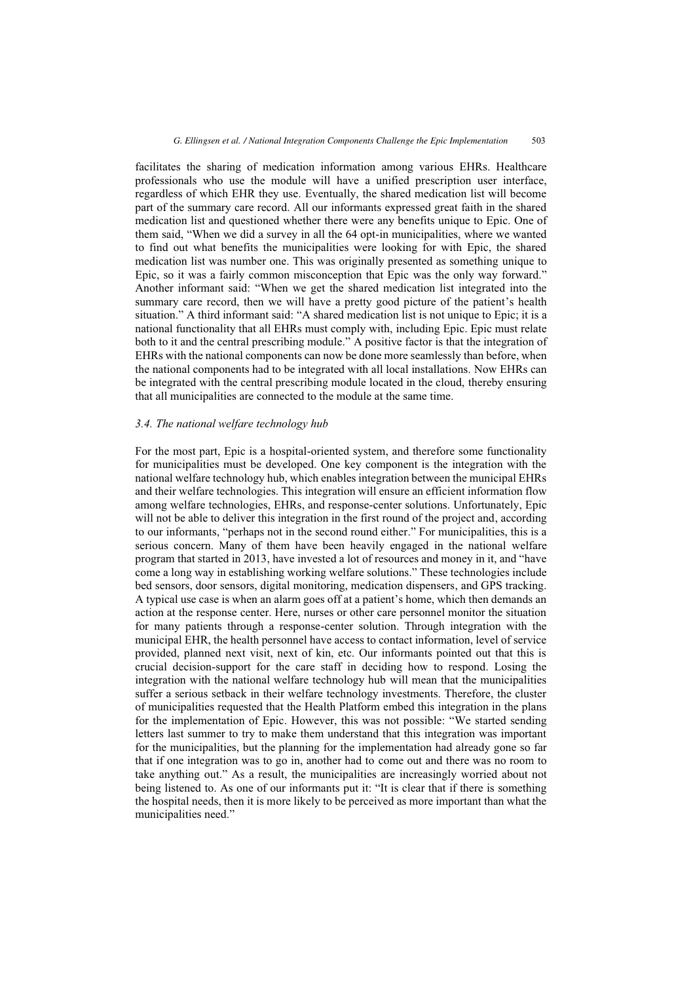facilitates the sharing of medication information among various EHRs. Healthcare professionals who use the module will have a unified prescription user interface, regardless of which EHR they use. Eventually, the shared medication list will become part of the summary care record. All our informants expressed great faith in the shared medication list and questioned whether there were any benefits unique to Epic. One of them said, "When we did a survey in all the 64 opt-in municipalities, where we wanted to find out what benefits the municipalities were looking for with Epic, the shared medication list was number one. This was originally presented as something unique to Epic, so it was a fairly common misconception that Epic was the only way forward." Another informant said: "When we get the shared medication list integrated into the summary care record, then we will have a pretty good picture of the patient's health situation." A third informant said: "A shared medication list is not unique to Epic; it is a national functionality that all EHRs must comply with, including Epic. Epic must relate both to it and the central prescribing module." A positive factor is that the integration of EHRs with the national components can now be done more seamlessly than before, when the national components had to be integrated with all local installations. Now EHRs can be integrated with the central prescribing module located in the cloud, thereby ensuring that all municipalities are connected to the module at the same time.

#### *3.4. The national welfare technology hub*

For the most part, Epic is a hospital-oriented system, and therefore some functionality for municipalities must be developed. One key component is the integration with the national welfare technology hub, which enables integration between the municipal EHRs and their welfare technologies. This integration will ensure an efficient information flow among welfare technologies, EHRs, and response-center solutions. Unfortunately, Epic will not be able to deliver this integration in the first round of the project and, according to our informants, "perhaps not in the second round either." For municipalities, this is a serious concern. Many of them have been heavily engaged in the national welfare program that started in 2013, have invested a lot of resources and money in it, and "have come a long way in establishing working welfare solutions." These technologies include bed sensors, door sensors, digital monitoring, medication dispensers, and GPS tracking. A typical use case is when an alarm goes off at a patient's home, which then demands an action at the response center. Here, nurses or other care personnel monitor the situation for many patients through a response-center solution. Through integration with the municipal EHR, the health personnel have access to contact information, level of service provided, planned next visit, next of kin, etc. Our informants pointed out that this is crucial decision-support for the care staff in deciding how to respond. Losing the integration with the national welfare technology hub will mean that the municipalities suffer a serious setback in their welfare technology investments. Therefore, the cluster of municipalities requested that the Health Platform embed this integration in the plans for the implementation of Epic. However, this was not possible: "We started sending letters last summer to try to make them understand that this integration was important for the municipalities, but the planning for the implementation had already gone so far that if one integration was to go in, another had to come out and there was no room to take anything out." As a result, the municipalities are increasingly worried about not being listened to. As one of our informants put it: "It is clear that if there is something the hospital needs, then it is more likely to be perceived as more important than what the municipalities need."